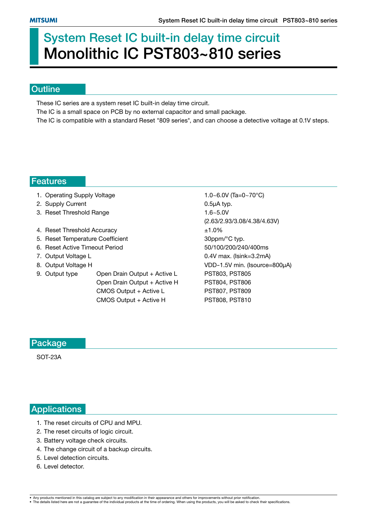# **System Reset IC built-in delay time circuit Monolithic IC PST803~810 series**

#### **Outline**

These IC series are a system reset IC built-in delay time circuit.

The IC is a small space on PCB by no external capacitor and small package.

The IC is compatible with a standard Reset "809 series", and can choose a detective voltage at 0.1V steps.

#### **Features**

- 1. Operating Supply Voltage 1.0~6.0V (Ta=0~70°C)
- 2. Supply Current 2. Supply Current 2. Supply Current 2. Supply Current 2. Supply Current 2. Supply Current 2.
- 3. Reset Threshold Range 1.6~5.0V
- 4. Reset Threshold Accuracy  $\pm 1.0\%$
- 5. Reset Temperature Coefficient 30ppm/°C typ.
- 6. Reset Active Timeout Period 50/100/200/240/400ms
- 
- 
- 9. Output type Open Drain Output + Active L PST803, PST805 Open Drain Output + Active H PST804, PST806 CMOS Output + Active L PST807, PST809

CMOS Output + Active H PST808, PST810

 (2.63/2.93/3.08/4.38/4.63V) 7. Output Voltage L 0.4V max. (Isink=3.2mA) 8. Output Voltage H VDD-1.5V min. (Isource=800µA)

#### **Package**

SOT-23A

#### **Applications**

- 1. The reset circuits of CPU and MPU.
- 2. The reset circuits of logic circuit.
- 3. Battery voltage check circuits.
- 4. The change circuit of a backup circuits.
- 5. Level detection circuits.
- 6. Level detector.

<sup>•</sup> Any products mentioned in this catalog are subject to any modification in their appearance and others for improvements without prior notification.<br>• The details listed here are not a guarantee of the individual products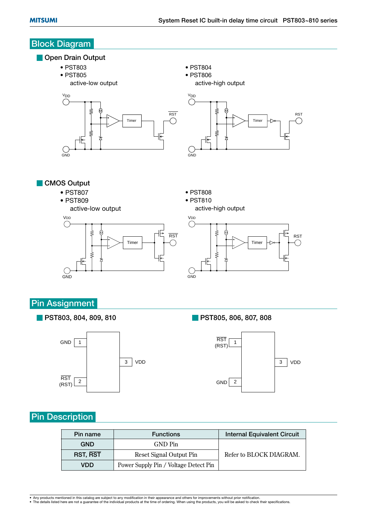# **Block Diagram**

#### **Open Drain Output**

- PST803
- PST805
	- active-low output



- PST804
- PST806

• PST808 • PST810

active-high output



**CMOS Output** 

- PST807
- PST809







## **Pin Assignment**

**PST803, 804, 809, 810**



**PST805, 806, 807, 808**



## **Pin Description**

| Pin name   | <b>Functions</b>                      | <b>Internal Equivalent Circuit</b> |
|------------|---------------------------------------|------------------------------------|
| <b>GND</b> | GND Pin                               |                                    |
| RST, RST   | Reset Signal Output Pin               | Refer to BLOCK DIAGRAM.            |
| <b>VDD</b> | Power Supply Pin / Voltage Detect Pin |                                    |

<sup>•</sup> Any products mentioned in this catalog are subject to any modification in their appearance and others for improvements without prior notification.<br>• The details listed here are not a guarantee of the individual products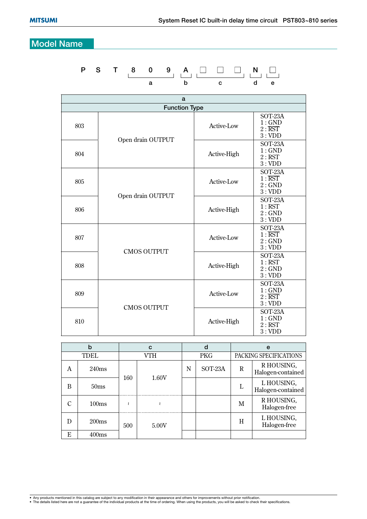## **Model Name**

## **P S T 8 0 9 A N a b c d e**

| a                    |                    |                   |                                                         |  |  |  |  |
|----------------------|--------------------|-------------------|---------------------------------------------------------|--|--|--|--|
| <b>Function Type</b> |                    |                   |                                                         |  |  |  |  |
| 803                  | Open drain OUTPUT  | Active-Low        | SOT-23A<br>1:GND<br>$2: \overline{\text{RST}}$<br>3:VDD |  |  |  |  |
| 804                  |                    | Active-High       | SOT-23A<br>1:GND<br>2:RST<br>3:VDD                      |  |  |  |  |
| 805                  | Open drain OUTPUT  | Active-Low        | SOT-23A<br>$1: \overline{\text{RST}}$<br>2:GND<br>3:VDD |  |  |  |  |
| 806                  |                    | Active-High       | SOT-23A<br>1:RST<br>2:GND<br>3:VDD                      |  |  |  |  |
| 807                  | <b>CMOS OUTPUT</b> | <b>Active-Low</b> | SOT-23A<br>$1: \overline{\text{RST}}$<br>2:GND<br>3:VDD |  |  |  |  |
| 808                  |                    | Active-High       | SOT-23A<br>1:RST<br>2:GND<br>3:VDD                      |  |  |  |  |
| 809                  | <b>CMOS OUTPUT</b> | Active-Low        | SOT-23A<br>1:GND<br>$2: \overline{\text{RST}}$<br>3:VDD |  |  |  |  |
| 810                  |                    | Active-High       | SOT-23A<br>1:GND<br>2:RST<br>3:VDD                      |  |  |  |  |

|   | b                | C   |       | d          |         | e                      |                                 |  |  |
|---|------------------|-----|-------|------------|---------|------------------------|---------------------------------|--|--|
|   | TDEL             | VTH |       | <b>PKG</b> |         | PACKING SPECIFICATIONS |                                 |  |  |
| A | 240ms            | 160 |       | N          | SOT-23A | R                      | R HOUSING,<br>Halogen-contained |  |  |
| В | 50 <sub>ms</sub> |     | 1.60V |            |         |                        | L HOUSING,<br>Halogen-contained |  |  |
| ◯ | 100ms            |     |       |            |         | M                      | R HOUSING,<br>Halogen-free      |  |  |
| D | 200ms            | 500 | 5.00V |            |         | Н                      | L HOUSING,<br>Halogen-free      |  |  |
| E | 400ms            |     |       |            |         |                        |                                 |  |  |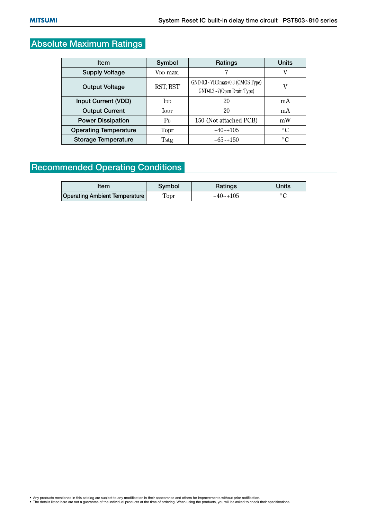## **Absolute Maximum Ratings**

| <b>Item</b>                  | Symbol                | Ratings                                                       | <b>Units</b> |  |
|------------------------------|-----------------------|---------------------------------------------------------------|--------------|--|
| <b>Supply Voltage</b>        | V <sub>DD</sub> max.  | 7                                                             | V            |  |
| <b>Output Voltage</b>        | RST, RST              | GND-0.3 ~VDDmax+0.3 (CMOS Type)<br>GND-0.3~7(Open Drain Type) | v            |  |
| Input Current (VDD)          | <b>I</b> <sub>D</sub> | 20                                                            | mA           |  |
| <b>Output Current</b>        | <b>I</b> out          | 20                                                            | mA           |  |
| <b>Power Dissipation</b>     | $P_D$                 | 150 (Not attached PCB)                                        | mW           |  |
| <b>Operating Temperature</b> | Topr                  | $-40$ $-105$                                                  | $\circ$ C    |  |
| <b>Storage Temperature</b>   | Tstg                  | $-65$ ~+150                                                   | $\circ$ C    |  |

## **Recommended Operating Conditions**

| Item                          | Svmbol | Ratings     | Units |  |
|-------------------------------|--------|-------------|-------|--|
| Operating Ambient Temperature | Topr   | $-40$ ~+105 |       |  |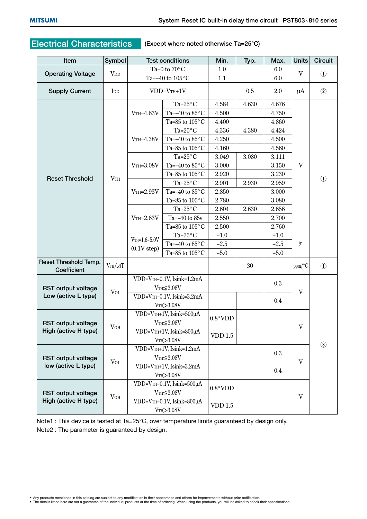## **Electrical Characteristics (Except where noted otherwise Ta=25°C)**

| Item                                              | Symbol                |                                                                        | <b>Test conditions</b>        | Min.      | Typ.  | Max.   | <b>Units</b>            | <b>Circuit</b> |
|---------------------------------------------------|-----------------------|------------------------------------------------------------------------|-------------------------------|-----------|-------|--------|-------------------------|----------------|
|                                                   |                       | Ta=0 to $70^{\circ}$ C                                                 |                               | 1.0       |       | 6.0    | $\mathbf{V}$            |                |
| <b>Operating Voltage</b>                          | <b>V</b> <sub>D</sub> |                                                                        | Ta=-40 to $105^{\circ}$ C     | 1.1       |       | 6.0    |                         | $\circled{1}$  |
| <b>Supply Current</b>                             | I <sub>DD</sub>       | $VDD=VTH+1V$                                                           |                               |           | 0.5   | 2.0    | $\mu$ A                 | $\circled{2}$  |
|                                                   |                       |                                                                        | Ta= $25^{\circ}$ C            | 4.584     | 4.630 | 4.676  |                         |                |
|                                                   |                       | $V$ TH= $4.63V$                                                        | Ta=-40 to $85^{\circ}$ C      | 4.500     |       | 4.750  |                         |                |
|                                                   |                       |                                                                        | Ta=85 to $105^{\circ}$ C      | 4.400     |       | 4.860  |                         |                |
|                                                   |                       |                                                                        | Ta= $25^{\circ}$ C            | 4.336     | 4.380 | 4.424  |                         |                |
|                                                   |                       | $V$ TH= $4.38V$                                                        | Ta=-40 to $85^{\circ}$ C      | 4.250     |       | 4.500  |                         |                |
|                                                   |                       |                                                                        | Ta=85 to $105^{\circ}$ C      | 4.160     |       | 4.560  |                         |                |
|                                                   |                       |                                                                        | Ta= $25^{\circ}$ C            | 3.049     | 3.080 | 3.111  |                         |                |
|                                                   |                       | $V$ TH= $3.08V$                                                        | Ta=-40 to $85^{\circ}$ C      | 3.000     |       | 3.150  | $\mathbf{V}$            |                |
|                                                   | VTH                   |                                                                        | Ta=85 to $105^{\circ}$ C      | 2.920     |       | 3.230  |                         |                |
| <b>Reset Threshold</b>                            |                       |                                                                        | Ta= $25^{\circ}$ C            | 2.901     | 2.930 | 2.959  |                         | $^{\circledR}$ |
|                                                   |                       | $V$ TH= $2.93V$                                                        | Ta=-40 to $85^{\circ}$ C      | 2.850     |       | 3.000  |                         |                |
|                                                   |                       |                                                                        | Ta=85 to $105^{\circ}$ C      | 2.780     |       | 3.080  |                         |                |
|                                                   |                       | $V$ TH= $2.63V$                                                        | Ta= $25^{\circ}$ C            | 2.604     | 2.630 | 2.656  |                         |                |
|                                                   |                       |                                                                        | Ta= $-40$ to $85v$            | 2.550     |       | 2.700  | %                       |                |
|                                                   |                       |                                                                        | Ta=85 to $105^{\circ}$ C      | 2.500     |       | 2.760  |                         |                |
|                                                   |                       | $V$ TH= $1.6 - 5.0V$                                                   | Ta= $25^{\circ}$ C            | $-1.0$    |       | $+1.0$ |                         |                |
|                                                   |                       |                                                                        | Ta=-40 to $85^{\circ}{\rm C}$ | $-2.5$    |       | $+2.5$ |                         |                |
|                                                   |                       | $(0.1V$ step)                                                          | Ta=85 to $105^{\circ}$ C      | $-5.0$    |       | $+5.0$ |                         |                |
| Reset Threshold Temp.<br>Coefficient              | $VTH/\Delta T$        |                                                                        |                               |           | 30    |        | ppm/°C                  | $\circled{1}$  |
|                                                   |                       | VDD=VTH-0.1V, Isink=1.2mA                                              |                               |           |       |        |                         |                |
| <b>RST output voltage</b>                         |                       | $VTH \leq 3.08V$                                                       |                               |           |       | 0.3    |                         |                |
| Low (active L type)                               | $V_{OL}$              | VDD=VTH-0.1V, Isink=3.2mA                                              |                               |           |       | 0.4    | V                       |                |
|                                                   |                       | VTH>3.08V                                                              |                               |           |       |        |                         |                |
|                                                   | V <sub>OH</sub>       | VDD=VTH+1V, Isink=500µA                                                |                               | $0.8*VDD$ |       |        | $\ensuremath{\text{V}}$ |                |
| <b>RST output voltage</b>                         |                       | $VTH \leq 3.08V$                                                       |                               |           |       |        |                         |                |
| High (active H type)                              |                       |                                                                        | VDD=VTH+1V, Isink=800µA       | $VDD-1.5$ |       |        |                         |                |
|                                                   |                       | VTH > 3.08V                                                            |                               |           |       |        |                         | $\circled{3}$  |
| <b>RST output voltage</b><br>low (active L type)  |                       | VDD=VTH+1V, Isink=1.2mA<br>$VTH \leq 3.08V$<br>VDD=VTH+1V, Isink=3.2mA |                               |           |       | 0.3    |                         |                |
|                                                   | $V_{OL}$              |                                                                        |                               |           |       |        | V                       |                |
|                                                   |                       |                                                                        |                               |           |       | 0.4    |                         |                |
|                                                   |                       | VTH>3.08V                                                              |                               |           |       |        |                         |                |
|                                                   | V <sub>OH</sub>       | VDD=VTH-0.1V, Isink=500µA<br>$VTH \leq 3.08V$                          |                               | $0.8*VDD$ |       |        | $\mathbf{V}$            |                |
| <b>RST output voltage</b><br>High (active H type) |                       |                                                                        |                               |           |       |        |                         |                |
|                                                   |                       | VDD=VTH-0.1V, Isink=800µA                                              |                               | $VDD-1.5$ |       |        |                         |                |
|                                                   |                       |                                                                        | VTH>3.08V                     |           |       |        |                         |                |

Note1 : This device is tested at Ta=25°C, over temperature limits guaranteed by design only. Note2 : The parameter is guaranteed by design.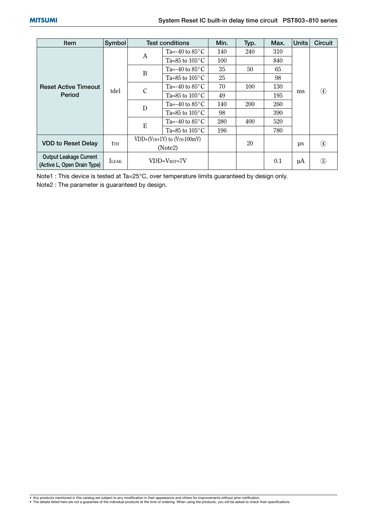| <b>Item</b>                                                  | Symbol       |                                 | <b>Test conditions</b>      | Min. | Typ.       | Max. | <b>Units</b> | Circuit           |
|--------------------------------------------------------------|--------------|---------------------------------|-----------------------------|------|------------|------|--------------|-------------------|
|                                                              |              | A                               | Ta=-40 to $85^{\circ}$ C    | 140  | 240        | 310  | ms           | $\circled{4}$     |
|                                                              |              |                                 | Ta=85 to $105^{\circ}$ C    | 100  |            | 840  |              |                   |
|                                                              |              | B                               | Ta=-40 to $85^{\circ}$ C    | 35   | 50         | 65   |              |                   |
|                                                              | tdel         |                                 | Ta=85 to $105^{\circ}$ C    | 25   |            | 98   |              |                   |
| <b>Reset Active Timeout</b>                                  |              | $\mathcal{C}$                   | Ta=-40 to $85^{\circ}$ C    | 70   | 100        | 130  |              |                   |
| Period                                                       |              |                                 | Ta=85 to $105^{\circ}$ C    | 49   |            | 195  |              |                   |
|                                                              |              | D                               | Ta=-40 to $85^{\circ}$ C    | 140  | <b>200</b> | 260  |              |                   |
|                                                              |              |                                 | Ta=85 to $105^{\circ}$ C    | 98   |            | 390  |              |                   |
|                                                              |              | E                               | Ta= $-40$ to $85^{\circ}$ C | 280  | 400        | 520  |              |                   |
|                                                              |              |                                 | Ta=85 to $105^{\circ}$ C    | 196  |            | 780  |              |                   |
| <b>VDD to Reset Delay</b>                                    |              | $VDD=(VTH+1V)$ to $(VTH-100mV)$ |                             |      | 20         |      |              |                   |
|                                                              | tth          | (Note2)                         |                             |      |            |      | $\mu$ s      | $\left( 4\right)$ |
| <b>Output Leakage Current</b><br>(Active L, Open Drain Type) | <b>ILEAK</b> | $VDD=V_{RST}=7V$                |                             |      |            | 0.1  | μA           | $\circledS$       |

Note1 : This device is tested at Ta=25°C, over temperature limits guaranteed by design only.

Note2 : The parameter is guaranteed by design.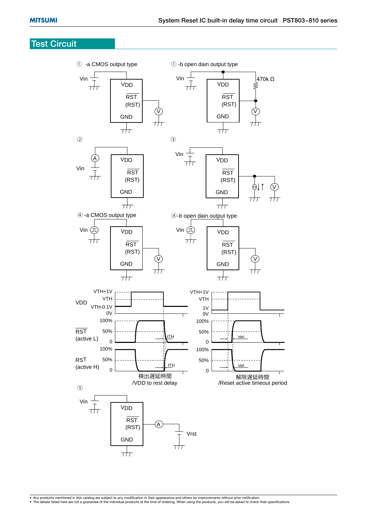## **Test Circuit**

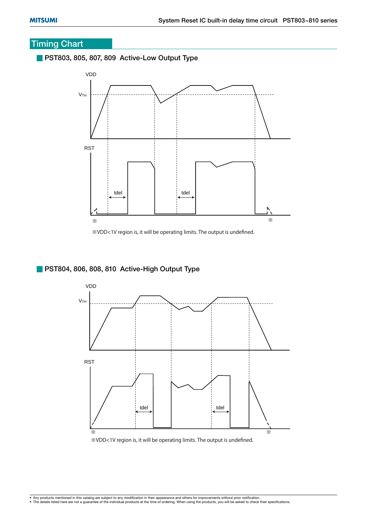## **Timing Chart**

**PST803, 805, 807, 809 Active-Low Output Type**



※VDD<1V region is, it will be operating limits. The output is undefined.

#### **PST804, 806, 808, 810 Active-High Output Type**



※VDD<1V region is, it will be operating limits. The output is undefined.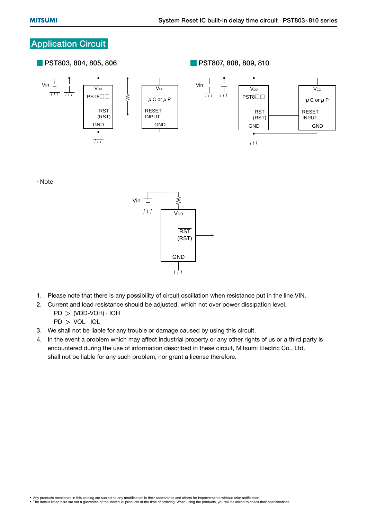## **Application Circuit**

**PST803, 804, 805, 806**

**PST807, 808, 809, 810** 



· Note



- 1. Please note that there is any possibility of circuit oscillation when resistance put in the line VIN.
- 2. Current and load resistance should be adjusted, which not over power dissipation level.
	- $PD$   $>$  (VDD-VOH)  $\cdot$  IOH
	- $PD > VOL \cdot IOL$
- 3. We shall not be liable for any trouble or damage caused by using this circuit.
- 4. In the event a problem which may affect industrial property or any other rights of us or a third party is encountered during the use of information described in these circuit, Mitsumi Electric Co., Ltd. shall not be liable for any such problem, nor grant a license therefore.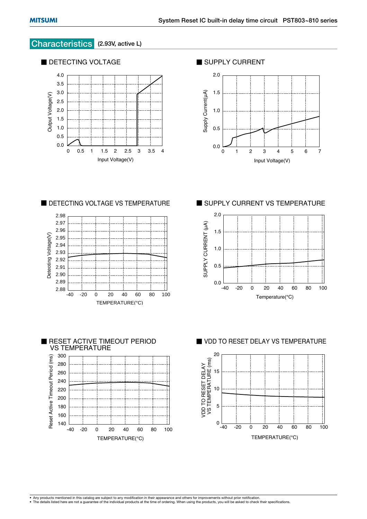#### **Characteristics (2.93V, active L)**



■ SUPPLY CURRENT



■ DETECTING VOLTAGE VS TEMPERATURE





■ SUPPLY CURRENT VS TEMPERATURE



■ VDD TO RESET DELAY VS TEMPERATURE